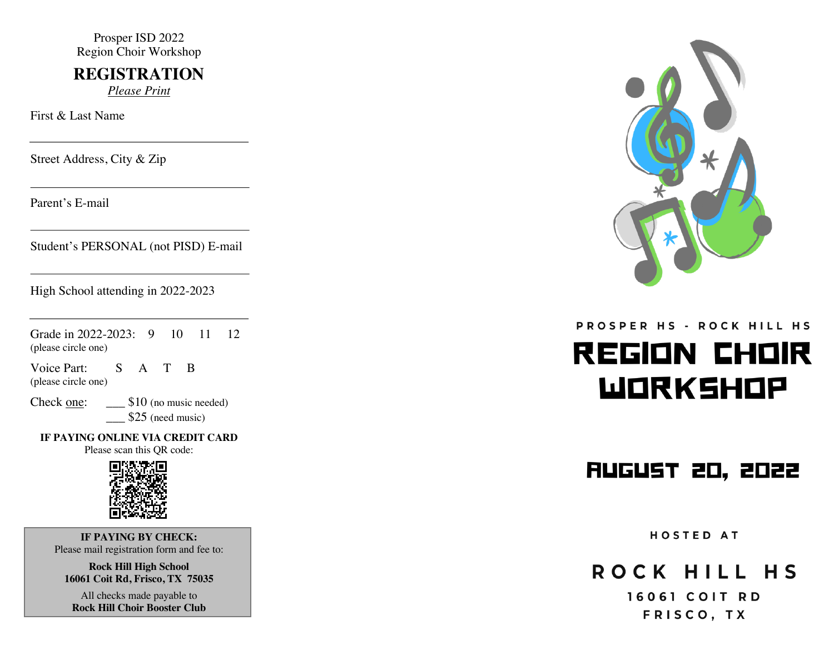Prosper ISD 2022 Region Choir Workshop

#### **REGISTRATION**

*Please Print*

First & Last Name

Street Address, City & Zip

Parent's E-mail

Student's PERSONAL (not PISD) E-mail

High School attending in 2022-2023

Grade in 2022-2023: 9 10 11 12 (please circle one)

Voice Part: S A T B (please circle one)

Check one: \_\_\_\_ \$10 (no music needed)  $$25$  (need music)

**IF PAYING ONLINE VIA CREDIT CARD**

Please scan this QR code:



**IF PAYING BY CHECK:** Please mail registration form and fee to:

**Rock Hill High School 16061 Coit Rd, Frisco, TX 75035**

All checks made payable to **Rock Hill Choir Booster Club**



PROSPER HS - ROCK HILL HS

# **REGION CHOIR** WORKSHOP

## **RUGUST 20, 2022**

HOSTED AT

ROCK HILL HS 16061 COIT RD FRISCO, TX